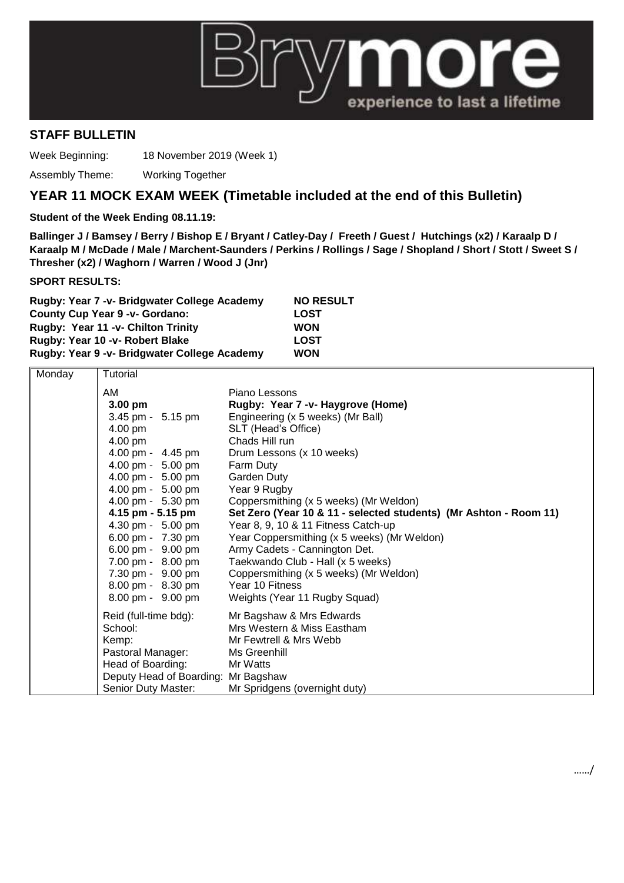

## **STAFF BULLETIN**

Week Beginning: 18 November 2019 (Week 1)

Assembly Theme: Working Together

## **YEAR 11 MOCK EXAM WEEK (Timetable included at the end of this Bulletin)**

## **Student of the Week Ending 08.11.19:**

**Ballinger J / Bamsey / Berry / Bishop E / Bryant / Catley-Day / Freeth / Guest / Hutchings (x2) / Karaalp D / Karaalp M / McDade / Male / Marchent-Saunders / Perkins / Rollings / Sage / Shopland / Short / Stott / Sweet S / Thresher (x2) / Waghorn / Warren / Wood J (Jnr)**

**SPORT RESULTS:**

| Rugby: Year 7 - v- Bridgwater College Academy | <b>NO RESULT</b> |
|-----------------------------------------------|------------------|
| <b>County Cup Year 9 -v- Gordano:</b>         | <b>LOST</b>      |
| Rugby: Year 11 -v- Chilton Trinity            | <b>WON</b>       |
| Rugby: Year 10 - v- Robert Blake              | <b>LOST</b>      |
| Rugby: Year 9 -v- Bridgwater College Academy  | <b>WON</b>       |

| Monday | <b>Tutorial</b>                     |                                                                   |
|--------|-------------------------------------|-------------------------------------------------------------------|
|        | AM                                  | Piano Lessons                                                     |
|        | $3.00$ pm                           | Rugby: Year 7 -v- Haygrove (Home)                                 |
|        | 3.45 pm - 5.15 pm                   | Engineering (x 5 weeks) (Mr Ball)                                 |
|        | 4.00 pm                             | SLT (Head's Office)                                               |
|        | 4.00 pm                             | Chads Hill run                                                    |
|        | 4.00 pm - 4.45 pm                   | Drum Lessons (x 10 weeks)                                         |
|        | 4.00 pm - 5.00 pm                   | Farm Duty                                                         |
|        | 4.00 pm - 5.00 pm                   | Garden Duty                                                       |
|        | 4.00 pm - 5.00 pm                   | Year 9 Rugby                                                      |
|        | 4.00 pm - 5.30 pm                   | Coppersmithing (x 5 weeks) (Mr Weldon)                            |
|        | 4.15 pm - 5.15 pm                   | Set Zero (Year 10 & 11 - selected students) (Mr Ashton - Room 11) |
|        | 4.30 pm - 5.00 pm                   | Year 8, 9, 10 & 11 Fitness Catch-up                               |
|        | 6.00 pm - 7.30 pm                   | Year Coppersmithing (x 5 weeks) (Mr Weldon)                       |
|        | 6.00 pm - 9.00 pm                   | Army Cadets - Cannington Det.                                     |
|        | 7.00 pm - 8.00 pm                   | Taekwando Club - Hall (x 5 weeks)                                 |
|        | 7.30 pm - 9.00 pm                   | Coppersmithing (x 5 weeks) (Mr Weldon)                            |
|        | 8.00 pm - 8.30 pm                   | Year 10 Fitness                                                   |
|        | 8.00 pm - 9.00 pm                   | Weights (Year 11 Rugby Squad)                                     |
|        | Reid (full-time bdg):               | Mr Bagshaw & Mrs Edwards                                          |
|        | School:                             | Mrs Western & Miss Eastham                                        |
|        | Kemp:                               | Mr Fewtrell & Mrs Webb                                            |
|        | Pastoral Manager:                   | Ms Greenhill                                                      |
|        | Head of Boarding:                   | Mr Watts                                                          |
|        | Deputy Head of Boarding: Mr Bagshaw |                                                                   |
|        | Senior Duty Master:                 | Mr Spridgens (overnight duty)                                     |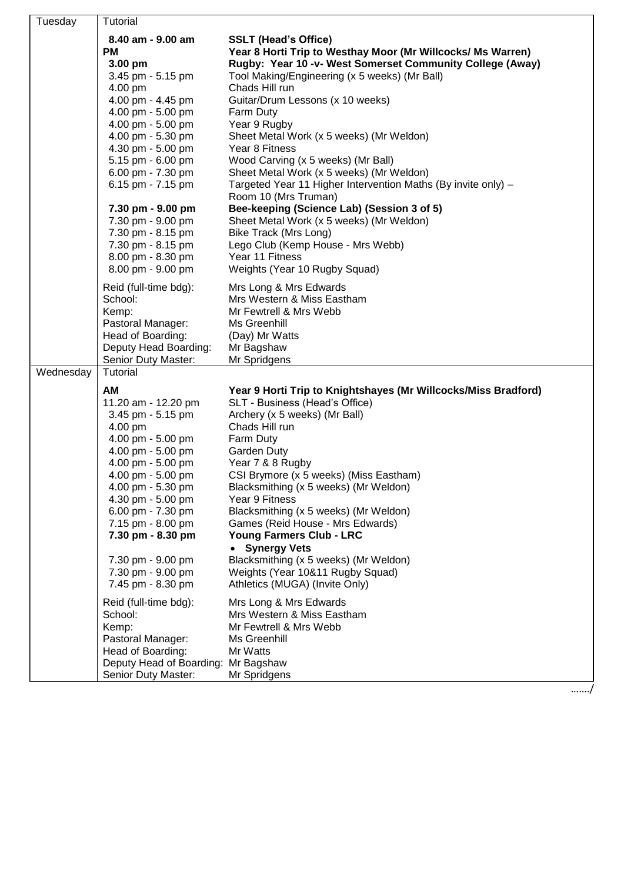| Tuesday   | Tutorial<br>8.40 am - 9.00 am<br><b>PM</b><br>3.00 pm<br>3.45 pm - 5.15 pm<br>4.00 pm<br>4.00 pm - 4.45 pm<br>4.00 pm - 5.00 pm<br>4.00 pm - 5.00 pm<br>4.00 pm - 5.30 pm<br>4.30 pm - 5.00 pm<br>5.15 pm - 6.00 pm<br>6.00 pm - 7.30 pm<br>6.15 pm - 7.15 pm<br>7.30 pm - 9.00 pm<br>7.30 pm - 9.00 pm                                  | <b>SSLT (Head's Office)</b><br>Year 8 Horti Trip to Westhay Moor (Mr Willcocks/ Ms Warren)<br>Rugby: Year 10 -v- West Somerset Community College (Away)<br>Tool Making/Engineering (x 5 weeks) (Mr Ball)<br>Chads Hill run<br>Guitar/Drum Lessons (x 10 weeks)<br>Farm Duty<br>Year 9 Rugby<br>Sheet Metal Work (x 5 weeks) (Mr Weldon)<br>Year 8 Fitness<br>Wood Carving (x 5 weeks) (Mr Ball)<br>Sheet Metal Work (x 5 weeks) (Mr Weldon)<br>Targeted Year 11 Higher Intervention Maths (By invite only) -<br>Room 10 (Mrs Truman)<br>Bee-keeping (Science Lab) (Session 3 of 5)<br>Sheet Metal Work (x 5 weeks) (Mr Weldon) |
|-----------|------------------------------------------------------------------------------------------------------------------------------------------------------------------------------------------------------------------------------------------------------------------------------------------------------------------------------------------|--------------------------------------------------------------------------------------------------------------------------------------------------------------------------------------------------------------------------------------------------------------------------------------------------------------------------------------------------------------------------------------------------------------------------------------------------------------------------------------------------------------------------------------------------------------------------------------------------------------------------------|
|           | 7.30 pm - 8.15 pm<br>7.30 pm - 8.15 pm<br>8.00 pm - 8.30 pm<br>8.00 pm - 9.00 pm                                                                                                                                                                                                                                                         | Bike Track (Mrs Long)<br>Lego Club (Kemp House - Mrs Webb)<br>Year 11 Fitness<br>Weights (Year 10 Rugby Squad)                                                                                                                                                                                                                                                                                                                                                                                                                                                                                                                 |
|           | Reid (full-time bdg):<br>School:<br>Kemp:<br>Pastoral Manager:<br>Head of Boarding:<br>Deputy Head Boarding:<br>Senior Duty Master:                                                                                                                                                                                                      | Mrs Long & Mrs Edwards<br>Mrs Western & Miss Eastham<br>Mr Fewtrell & Mrs Webb<br>Ms Greenhill<br>(Day) Mr Watts<br>Mr Bagshaw<br>Mr Spridgens                                                                                                                                                                                                                                                                                                                                                                                                                                                                                 |
| Wednesday | Tutorial<br><b>AM</b><br>11.20 am - 12.20 pm<br>3.45 pm - 5.15 pm<br>4.00 pm<br>4.00 pm - 5.00 pm<br>4.00 pm - 5.00 pm<br>4.00 pm - 5.00 pm<br>4.00 pm - 5.00 pm<br>4.00 pm - 5.30 pm<br>4.30 pm - 5.00 pm<br>6.00 pm - 7.30 pm<br>7.15 pm - 8.00 pm<br>7.30 pm - 8.30 pm<br>7.30 pm - 9.00 pm<br>7.30 pm - 9.00 pm<br>7.45 pm - 8.30 pm | Year 9 Horti Trip to Knightshayes (Mr Willcocks/Miss Bradford)<br>SLT - Business (Head's Office)<br>Archery (x 5 weeks) (Mr Ball)<br>Chads Hill run<br>Farm Duty<br>Garden Duty<br>Year 7 & 8 Rugby<br>CSI Brymore (x 5 weeks) (Miss Eastham)<br>Blacksmithing (x 5 weeks) (Mr Weldon)<br>Year 9 Fitness<br>Blacksmithing (x 5 weeks) (Mr Weldon)<br>Games (Reid House - Mrs Edwards)<br><b>Young Farmers Club - LRC</b><br><b>Synergy Vets</b><br>$\bullet$<br>Blacksmithing (x 5 weeks) (Mr Weldon)<br>Weights (Year 10&11 Rugby Squad)<br>Athletics (MUGA) (Invite Only)                                                    |
|           | Reid (full-time bdg):<br>School:<br>Kemp:<br>Pastoral Manager:<br>Head of Boarding:<br>Deputy Head of Boarding: Mr Bagshaw<br>Senior Duty Master:                                                                                                                                                                                        | Mrs Long & Mrs Edwards<br>Mrs Western & Miss Eastham<br>Mr Fewtrell & Mrs Webb<br>Ms Greenhill<br>Mr Watts<br>Mr Spridgens                                                                                                                                                                                                                                                                                                                                                                                                                                                                                                     |

……./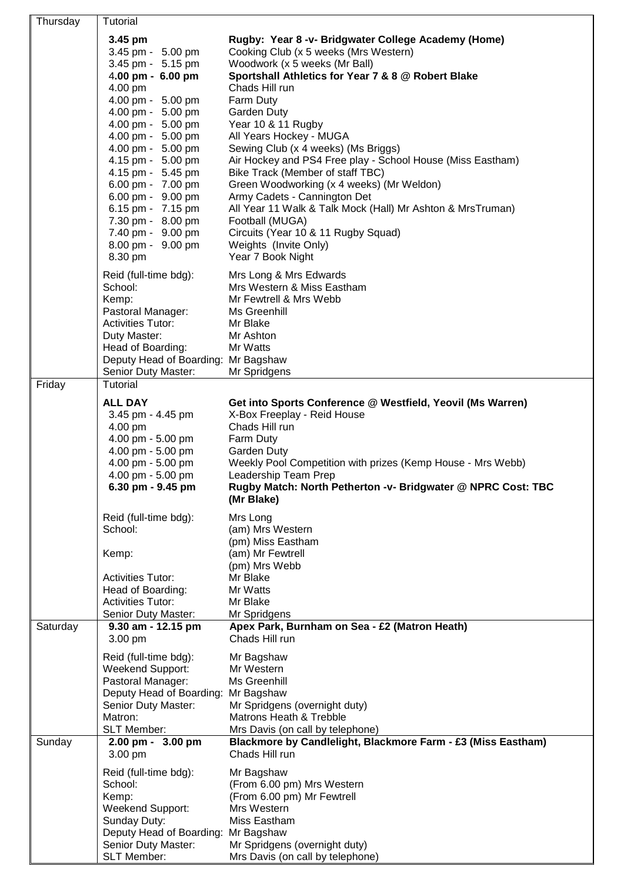| Thursday | Tutorial                                                                                                                                                                                                                                                                                                                                                                                                                   |                                                                                                                                                                                                                                                                                                                                                                                                                                                                                                                                                                                                                                                                                                                                                                  |
|----------|----------------------------------------------------------------------------------------------------------------------------------------------------------------------------------------------------------------------------------------------------------------------------------------------------------------------------------------------------------------------------------------------------------------------------|------------------------------------------------------------------------------------------------------------------------------------------------------------------------------------------------------------------------------------------------------------------------------------------------------------------------------------------------------------------------------------------------------------------------------------------------------------------------------------------------------------------------------------------------------------------------------------------------------------------------------------------------------------------------------------------------------------------------------------------------------------------|
|          | 3.45 pm<br>3.45 pm - 5.00 pm<br>3.45 pm - 5.15 pm<br>4.00 pm - 6.00 pm<br>4.00 pm<br>4.00 pm - 5.00 pm<br>4.00 pm - 5.00 pm<br>4.00 pm - 5.00 pm<br>4.00 pm - 5.00 pm<br>4.00 pm - 5.00 pm<br>4.15 pm - 5.00 pm<br>4.15 pm - 5.45 pm<br>6.00 pm - 7.00 pm<br>6.00 pm - 9.00 pm<br>6.15 pm - 7.15 pm<br>7.30 pm - 8.00 pm<br>7.40 pm - 9.00 pm<br>8.00 pm - 9.00 pm<br>8.30 pm<br>Reid (full-time bdg):<br>School:<br>Kemp: | Rugby: Year 8 -v- Bridgwater College Academy (Home)<br>Cooking Club (x 5 weeks (Mrs Western)<br>Woodwork (x 5 weeks (Mr Ball)<br>Sportshall Athletics for Year 7 & 8 @ Robert Blake<br>Chads Hill run<br>Farm Duty<br>Garden Duty<br>Year 10 & 11 Rugby<br>All Years Hockey - MUGA<br>Sewing Club (x 4 weeks) (Ms Briggs)<br>Air Hockey and PS4 Free play - School House (Miss Eastham)<br>Bike Track (Member of staff TBC)<br>Green Woodworking (x 4 weeks) (Mr Weldon)<br>Army Cadets - Cannington Det<br>All Year 11 Walk & Talk Mock (Hall) Mr Ashton & MrsTruman)<br>Football (MUGA)<br>Circuits (Year 10 & 11 Rugby Squad)<br>Weights (Invite Only)<br>Year 7 Book Night<br>Mrs Long & Mrs Edwards<br>Mrs Western & Miss Eastham<br>Mr Fewtrell & Mrs Webb |
|          | Pastoral Manager:<br><b>Activities Tutor:</b><br>Duty Master:<br>Head of Boarding:<br>Deputy Head of Boarding: Mr Bagshaw<br>Senior Duty Master:                                                                                                                                                                                                                                                                           | Ms Greenhill<br>Mr Blake<br>Mr Ashton<br>Mr Watts<br>Mr Spridgens                                                                                                                                                                                                                                                                                                                                                                                                                                                                                                                                                                                                                                                                                                |
| Friday   | Tutorial<br><b>ALL DAY</b><br>3.45 pm - 4.45 pm<br>4.00 pm<br>4.00 pm - 5.00 pm<br>4.00 pm - 5.00 pm<br>4.00 pm - 5.00 pm<br>4.00 pm - 5.00 pm<br>6.30 pm - 9.45 pm                                                                                                                                                                                                                                                        | Get into Sports Conference @ Westfield, Yeovil (Ms Warren)<br>X-Box Freeplay - Reid House<br>Chads Hill run<br>Farm Duty<br><b>Garden Duty</b><br>Weekly Pool Competition with prizes (Kemp House - Mrs Webb)<br>Leadership Team Prep<br>Rugby Match: North Petherton -v- Bridgwater @ NPRC Cost: TBC<br>(Mr Blake)                                                                                                                                                                                                                                                                                                                                                                                                                                              |
|          | Reid (full-time bdg):<br>School:<br>Kemp:<br><b>Activities Tutor:</b><br>Head of Boarding:<br><b>Activities Tutor:</b><br>Senior Duty Master:                                                                                                                                                                                                                                                                              | Mrs Long<br>(am) Mrs Western<br>(pm) Miss Eastham<br>(am) Mr Fewtrell<br>(pm) Mrs Webb<br>Mr Blake<br>Mr Watts<br>Mr Blake<br>Mr Spridgens                                                                                                                                                                                                                                                                                                                                                                                                                                                                                                                                                                                                                       |
| Saturday | 9.30 am - 12.15 pm<br>3.00 pm<br>Reid (full-time bdg):<br>Weekend Support:<br>Pastoral Manager:<br>Deputy Head of Boarding:<br>Senior Duty Master:<br>Matron:<br><b>SLT Member:</b>                                                                                                                                                                                                                                        | Apex Park, Burnham on Sea - £2 (Matron Heath)<br>Chads Hill run<br>Mr Bagshaw<br>Mr Western<br>Ms Greenhill<br>Mr Bagshaw<br>Mr Spridgens (overnight duty)<br>Matrons Heath & Trebble<br>Mrs Davis (on call by telephone)                                                                                                                                                                                                                                                                                                                                                                                                                                                                                                                                        |
| Sunday   | 2.00 pm - 3.00 pm<br>3.00 pm<br>Reid (full-time bdg):<br>School:<br>Kemp:<br>Weekend Support:<br>Sunday Duty:<br>Deputy Head of Boarding: Mr Bagshaw<br>Senior Duty Master:<br><b>SLT Member:</b>                                                                                                                                                                                                                          | Blackmore by Candlelight, Blackmore Farm - £3 (Miss Eastham)<br>Chads Hill run<br>Mr Bagshaw<br>(From 6.00 pm) Mrs Western<br>(From 6.00 pm) Mr Fewtrell<br>Mrs Western<br>Miss Eastham<br>Mr Spridgens (overnight duty)<br>Mrs Davis (on call by telephone)                                                                                                                                                                                                                                                                                                                                                                                                                                                                                                     |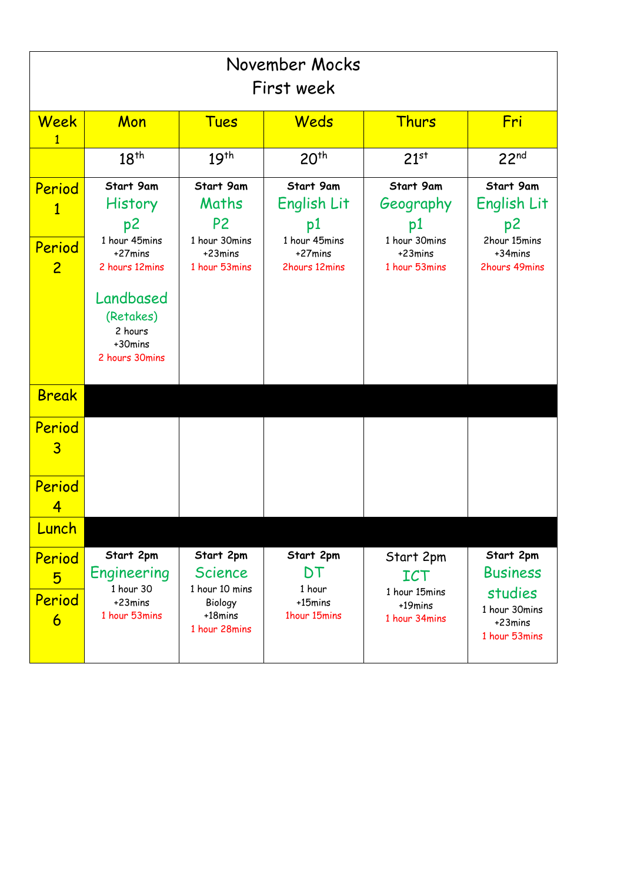| November Mocks<br>First week                       |                                                                             |                                                                                      |                                                                             |                                                                           |                                                                                      |
|----------------------------------------------------|-----------------------------------------------------------------------------|--------------------------------------------------------------------------------------|-----------------------------------------------------------------------------|---------------------------------------------------------------------------|--------------------------------------------------------------------------------------|
| Week                                               | Mon                                                                         | <b>Tues</b>                                                                          | Weds                                                                        | Thurs                                                                     | Fri                                                                                  |
|                                                    | 18 <sup>th</sup>                                                            | 19 <sup>th</sup>                                                                     | 20 <sup>th</sup>                                                            | 21 <sup>st</sup>                                                          | 22 <sup>nd</sup>                                                                     |
| Period<br>$\mathbf{1}$<br>Period<br>$\overline{2}$ | Start 9am<br>History<br>p2<br>1 hour 45mins<br>$+27$ mins<br>2 hours 12mins | Start 9am<br>Maths<br>P <sub>2</sub><br>1 hour 30mins<br>+23mins<br>1 hour 53mins    | Start 9am<br>English Lit<br>p1<br>1 hour 45mins<br>+27mins<br>2hours 12mins | Start 9am<br>Geography<br>p1<br>1 hour 30mins<br>+23mins<br>1 hour 53mins | Start 9am<br>English Lit<br>p2<br>2hour 15mins<br>+34mins<br>2hours 49mins           |
|                                                    | Landbased<br>(Retakes)<br>2 hours<br>+30mins<br>2 hours 30mins              |                                                                                      |                                                                             |                                                                           |                                                                                      |
| <b>Break</b>                                       |                                                                             |                                                                                      |                                                                             |                                                                           |                                                                                      |
| Period<br>3                                        |                                                                             |                                                                                      |                                                                             |                                                                           |                                                                                      |
| Period<br>4                                        |                                                                             |                                                                                      |                                                                             |                                                                           |                                                                                      |
| Lunch                                              |                                                                             |                                                                                      |                                                                             |                                                                           |                                                                                      |
| Period<br>5<br>Period<br>6                         | Start 2pm<br>Engineering<br>1 hour 30<br>+23mins<br>1 hour 53mins           | Start 2pm<br><b>Science</b><br>1 hour 10 mins<br>Biology<br>+18mins<br>1 hour 28mins | Start 2pm<br>DT<br>1 hour<br>+15mins<br>1hour 15mins                        | Start 2pm<br><b>ICT</b><br>1 hour 15mins<br>+19mins<br>1 hour 34mins      | Start 2pm<br><b>Business</b><br>studies<br>1 hour 30mins<br>+23mins<br>1 hour 53mins |